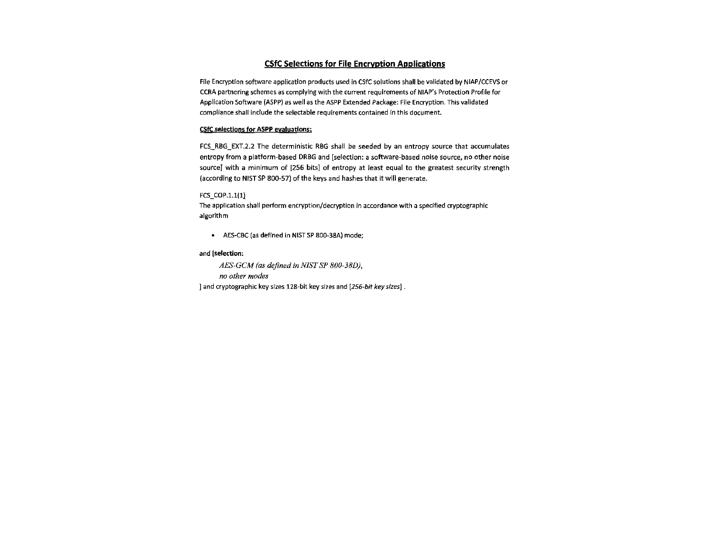# CSfC Selections for File Encryption Applications

File Encryption software application products used in CSfC solutions shall be validated by NIAP/CCEVS or CCRA partnering schemes as complying with the current requirements of NIAP's Protection Profile for Application Software {ASPP) as well as the ASPP Extended Package: File Encryption. This validated compliance shall include the selectable requirements contained in this document.

## CSfC selections for ASPP evaluations:

FCS\_RBG\_EXT.2.2 The deterministic RBG shall be seeded by an entropy source that accumulates entropy from a platform-based DRBG and [selection: a software-based noise source, no other noise sourceJ with a minimum of [256 bits] of entropy at least equal to the greatest security strength (according to NIST SP 800-57) of the keys and hashes that it will generate.

### FCS\_COP.1.1(1)

The application shall perform encryption/decryption in accordance with a specified cryptographic algorithm

AES-CBC (as defined in NIST SP 800-38A) mode;

## and (selection:

*AES-GCM (as defined in NIST SP 800-38D), no other modes*  ] and cryptographic key sizes 128-bit key sizes and [256-bit key sizes].